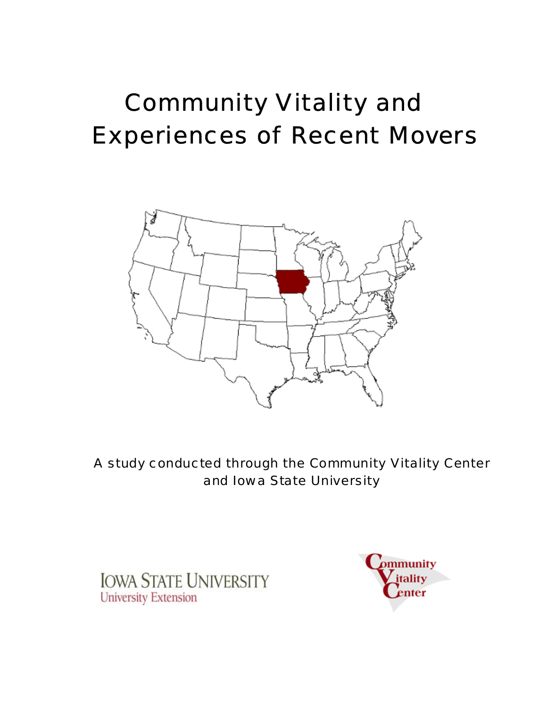# Community Vitality and Experiences of Recent Movers



A study conducted through the Community Vitality Center and Iowa State University

**IOWA STATE UNIVERSITY University Extension** 

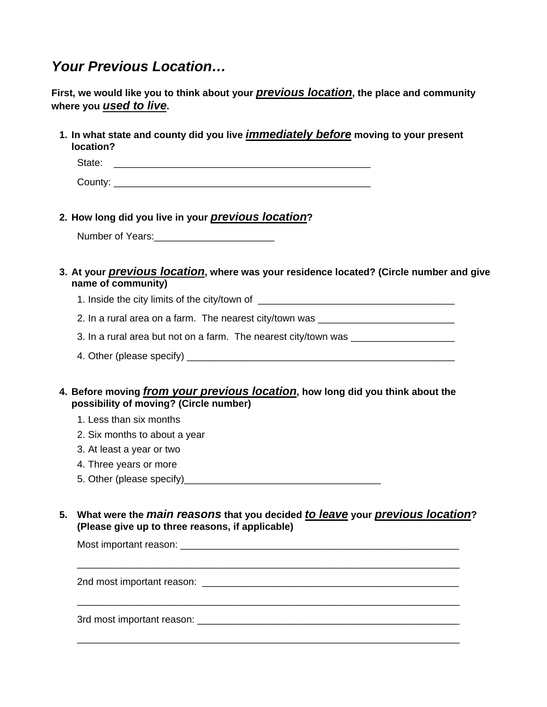# *Your Previous Location…*

|    | First, we would like you to think about your <i>previous location</i> , the place and community<br>where you used to live.                                                                                                                                                |
|----|---------------------------------------------------------------------------------------------------------------------------------------------------------------------------------------------------------------------------------------------------------------------------|
|    | 1. In what state and county did you live <i>immediately before</i> moving to your present<br>location?                                                                                                                                                                    |
|    | State:                                                                                                                                                                                                                                                                    |
|    |                                                                                                                                                                                                                                                                           |
|    | 2. How long did you live in your <i>previous location</i> ?                                                                                                                                                                                                               |
|    |                                                                                                                                                                                                                                                                           |
|    | 3. At your <i>previous location</i> , where was your residence located? (Circle number and give<br>name of community)                                                                                                                                                     |
|    | 1. Inside the city limits of the city/town of __________________________________                                                                                                                                                                                          |
|    | 2. In a rural area on a farm. The nearest city/town was ________________________                                                                                                                                                                                          |
|    | 3. In a rural area but not on a farm. The nearest city/town was ________________                                                                                                                                                                                          |
|    |                                                                                                                                                                                                                                                                           |
|    | 4. Before moving from your previous location, how long did you think about the<br>possibility of moving? (Circle number)<br>1. Less than six months<br>2. Six months to about a year<br>3. At least a year or two<br>4. Three years or more<br>5. Other (please specify)_ |
| 5. | What were the <i>main reasons</i> that you decided to leave your previous location?<br>(Please give up to three reasons, if applicable)                                                                                                                                   |
|    |                                                                                                                                                                                                                                                                           |
|    |                                                                                                                                                                                                                                                                           |
|    | <u> 1989 - Johann Stoff, deutscher Stoff, der Stoff, der Stoff, der Stoff, der Stoff, der Stoff, der Stoff, der S</u>                                                                                                                                                     |

\_\_\_\_\_\_\_\_\_\_\_\_\_\_\_\_\_\_\_\_\_\_\_\_\_\_\_\_\_\_\_\_\_\_\_\_\_\_\_\_\_\_\_\_\_\_\_\_\_\_\_\_\_\_\_\_\_\_\_\_\_\_\_\_\_\_\_\_\_\_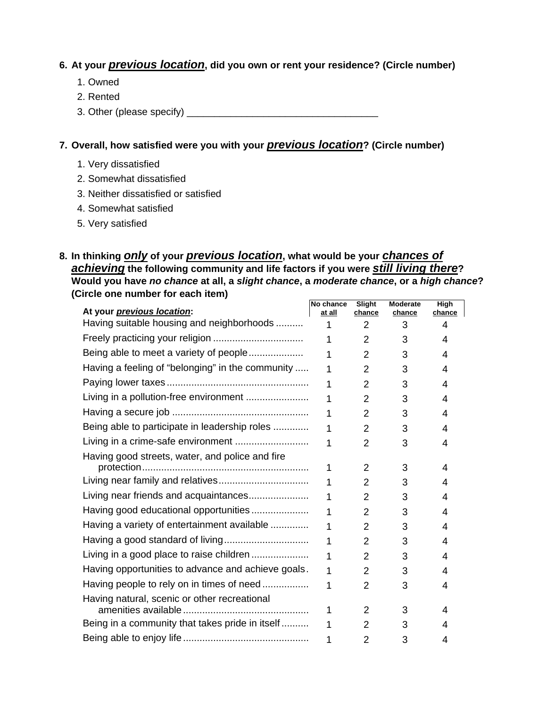## **6. At your** *previous location***, did you own or rent your residence? (Circle number)**

- 1. Owned
- 2. Rented
- 3. Other (please specify) \_\_\_\_\_\_\_\_\_\_\_\_\_\_\_\_\_\_\_\_\_\_\_\_\_\_\_\_\_\_\_\_\_\_\_

#### **7. Overall, how satisfied were you with your** *previous location***? (Circle number)**

- 1. Very dissatisfied
- 2. Somewhat dissatisfied
- 3. Neither dissatisfied or satisfied
- 4. Somewhat satisfied
- 5. Very satisfied

#### **8. In thinking** *only* **of your** *previous location***, what would be your** *chances of achieving* **the following community and life factors if you were** *still living there***? Would you have** *no chance* **at all, a** *slight chance***, a** *moderate chance***, or a** *high chance***? (Circle one number for each item)**

| At your <i>previous location</i> :                 | No chance<br>at all | Slight<br>chance | <b>Moderate</b><br>chance | High<br>chance |
|----------------------------------------------------|---------------------|------------------|---------------------------|----------------|
| Having suitable housing and neighborhoods          | 1                   | 2                | 3                         | 4              |
|                                                    | 1                   | $\overline{2}$   | 3                         | 4              |
| Being able to meet a variety of people             | 1                   | $\overline{2}$   | 3                         | 4              |
| Having a feeling of "belonging" in the community   | 1                   | $\overline{2}$   | 3                         | 4              |
|                                                    | 1                   | $\overline{2}$   | 3                         | 4              |
| Living in a pollution-free environment             | 1                   | $\overline{2}$   | 3                         | 4              |
|                                                    | 1                   | $\overline{2}$   | 3                         | 4              |
| Being able to participate in leadership roles      | 1                   | 2                | 3                         | 4              |
|                                                    | 1                   | 2                | 3                         | 4              |
| Having good streets, water, and police and fire    | 1                   | $\overline{2}$   | 3                         | 4              |
| Living near family and relatives                   | 1                   | 2                | 3                         | 4              |
| Living near friends and acquaintances              | 1                   | $\overline{2}$   | 3                         | 4              |
| Having good educational opportunities              | 1                   | $\overline{2}$   | 3                         | 4              |
| Having a variety of entertainment available        | 1                   | $\overline{2}$   | 3                         | 4              |
|                                                    | 1                   | $\overline{2}$   | 3                         | 4              |
| Living in a good place to raise children           | 1                   | $\overline{2}$   | 3                         | 4              |
| Having opportunities to advance and achieve goals. | 1                   | $\overline{2}$   | 3                         | 4              |
| Having people to rely on in times of need          | 1                   | $\overline{2}$   | 3                         | 4              |
| Having natural, scenic or other recreational       | 1                   | 2                | 3                         | 4              |
| Being in a community that takes pride in itself    | 1                   | $\overline{2}$   | 3                         | 4              |
|                                                    | 1                   | $\overline{2}$   | 3                         | 4              |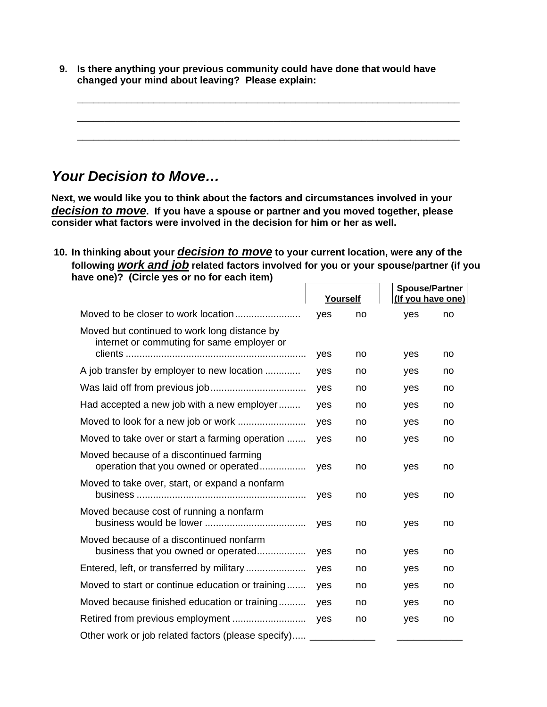**9. Is there anything your previous community could have done that would have changed your mind about leaving? Please explain:** 

\_\_\_\_\_\_\_\_\_\_\_\_\_\_\_\_\_\_\_\_\_\_\_\_\_\_\_\_\_\_\_\_\_\_\_\_\_\_\_\_\_\_\_\_\_\_\_\_\_\_\_\_\_\_\_\_\_\_\_\_\_\_\_\_\_\_\_\_\_\_

\_\_\_\_\_\_\_\_\_\_\_\_\_\_\_\_\_\_\_\_\_\_\_\_\_\_\_\_\_\_\_\_\_\_\_\_\_\_\_\_\_\_\_\_\_\_\_\_\_\_\_\_\_\_\_\_\_\_\_\_\_\_\_\_\_\_\_\_\_\_

\_\_\_\_\_\_\_\_\_\_\_\_\_\_\_\_\_\_\_\_\_\_\_\_\_\_\_\_\_\_\_\_\_\_\_\_\_\_\_\_\_\_\_\_\_\_\_\_\_\_\_\_\_\_\_\_\_\_\_\_\_\_\_\_\_\_\_\_\_\_

# *Your Decision to Move…*

**Next, we would like you to think about the factors and circumstances involved in your**  *decision to move***. If you have a spouse or partner and you moved together, please consider what factors were involved in the decision for him or her as well.** 

#### **10. In thinking about your** *decision to move* **to your current location, were any of the following** *work and job* **related factors involved for you or your spouse/partner (if you have one)? (Circle yes or no for each item) Spouse/Partner**

|                                                                                            | Yourself |    | Spouse/Partner<br>(If you have one) |    |
|--------------------------------------------------------------------------------------------|----------|----|-------------------------------------|----|
|                                                                                            | yes      | no | yes                                 | no |
| Moved but continued to work long distance by<br>internet or commuting for same employer or |          |    |                                     |    |
|                                                                                            | yes      | no | yes                                 | no |
| A job transfer by employer to new location                                                 | yes      | no | yes                                 | no |
|                                                                                            | yes      | no | yes                                 | no |
| Had accepted a new job with a new employer                                                 | yes      | no | yes                                 | no |
|                                                                                            | yes      | no | yes                                 | no |
| Moved to take over or start a farming operation                                            | yes      | no | yes                                 | no |
| Moved because of a discontinued farming<br>operation that you owned or operated            | yes      | no | yes                                 | no |
| Moved to take over, start, or expand a nonfarm                                             | yes      | no | yes                                 | no |
| Moved because cost of running a nonfarm                                                    | yes      | no | yes                                 | no |
| Moved because of a discontinued nonfarm<br>business that you owned or operated             | yes      | no | yes                                 | no |
| Entered, left, or transferred by military                                                  | yes      | no | yes                                 | no |
| Moved to start or continue education or training                                           | yes      | no | yes                                 | no |
| Moved because finished education or training                                               | ves      | no | yes                                 | no |
|                                                                                            | yes      | no | yes                                 | no |
| Other work or job related factors (please specify)                                         |          |    |                                     |    |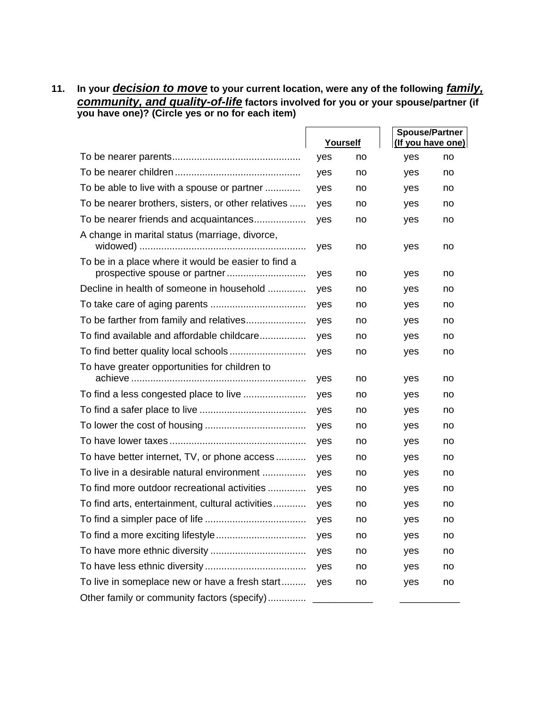**11. In your** *decision to move* **to your current location, were any of the following** *family, community, and quality-of-life* **factors involved for you or your spouse/partner (if you have one)? (Circle yes or no for each item)** 

|                                                     |     | Yourself | <b>Spouse/Partner</b><br>(If you have one) |    |
|-----------------------------------------------------|-----|----------|--------------------------------------------|----|
|                                                     | yes | no       | yes                                        | no |
|                                                     | yes | no       | yes                                        | no |
| To be able to live with a spouse or partner         | yes | no       | yes                                        | no |
| To be nearer brothers, sisters, or other relatives  | yes | no       | yes                                        | no |
| To be nearer friends and acquaintances              | yes | no       | yes                                        | no |
| A change in marital status (marriage, divorce,      | yes | no       | yes                                        | no |
| To be in a place where it would be easier to find a | yes | no       | yes                                        | no |
| Decline in health of someone in household           | yes | no       | yes                                        | no |
|                                                     | yes | no       | yes                                        | no |
|                                                     | yes | no       | yes                                        | no |
| To find available and affordable childcare          | yes | no       | yes                                        | no |
|                                                     | yes | no       | yes                                        | no |
| To have greater opportunities for children to       | yes | no       | yes                                        | no |
| To find a less congested place to live              | yes | no       | yes                                        | no |
|                                                     | yes | no       | yes                                        | no |
|                                                     | yes | no       | yes                                        | no |
|                                                     | yes | no       | yes                                        | no |
| To have better internet, TV, or phone access        | yes | no       | yes                                        | no |
| To live in a desirable natural environment          | yes | no       | yes                                        | no |
| To find more outdoor recreational activities        | yes | no       | yes                                        | no |
| To find arts, entertainment, cultural activities    | yes | no       | yes                                        | no |
|                                                     | yes | no       | yes                                        | no |
|                                                     | yes | no       | yes                                        | no |
|                                                     | yes | no       | yes                                        | no |
|                                                     | yes | no       | yes                                        | no |
| To live in someplace new or have a fresh start      | yes | no       | yes                                        | no |
| Other family or community factors (specify)         |     |          |                                            |    |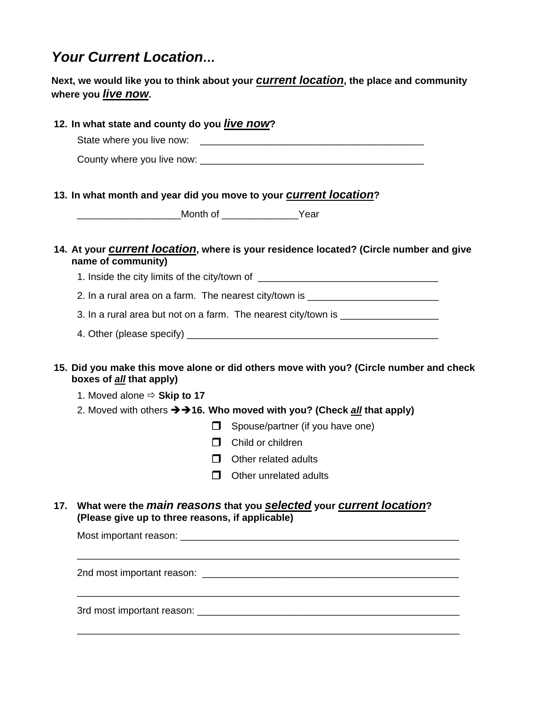# *Your Current Location…*

# **Next, we would like you to think about your** *current location***, the place and community where you** *live now***.**

| 12. In what state and county do you live now?                                                                                                                                                                                                                                                                                                                                             |
|-------------------------------------------------------------------------------------------------------------------------------------------------------------------------------------------------------------------------------------------------------------------------------------------------------------------------------------------------------------------------------------------|
|                                                                                                                                                                                                                                                                                                                                                                                           |
| 13. In what month and year did you move to your <i>current location</i> ?                                                                                                                                                                                                                                                                                                                 |
| _______________________Month of __________________Year                                                                                                                                                                                                                                                                                                                                    |
| 14. At your <b>Current location</b> , where is your residence located? (Circle number and give<br>name of community)                                                                                                                                                                                                                                                                      |
| 1. Inside the city limits of the city/town of __________________________________                                                                                                                                                                                                                                                                                                          |
| 2. In a rural area on a farm. The nearest city/town is _________________________                                                                                                                                                                                                                                                                                                          |
| 3. In a rural area but not on a farm. The nearest city/town is _________________                                                                                                                                                                                                                                                                                                          |
|                                                                                                                                                                                                                                                                                                                                                                                           |
| 15. Did you make this move alone or did others move with you? (Circle number and check<br>boxes of all that apply)<br>1. Moved alone $\Rightarrow$ Skip to 17<br>2. Moved with others $\rightarrow$ +16. Who moved with you? (Check <u>all</u> that apply)<br>П<br>Spouse/partner (if you have one)<br>Child or children<br>П<br>П<br>Other related adults<br>П<br>Other unrelated adults |
| 17. What were the <i>main reasons</i> that you <b>selected</b> your <b>current location</b> ?<br>(Please give up to three reasons, if applicable)                                                                                                                                                                                                                                         |
|                                                                                                                                                                                                                                                                                                                                                                                           |
|                                                                                                                                                                                                                                                                                                                                                                                           |
|                                                                                                                                                                                                                                                                                                                                                                                           |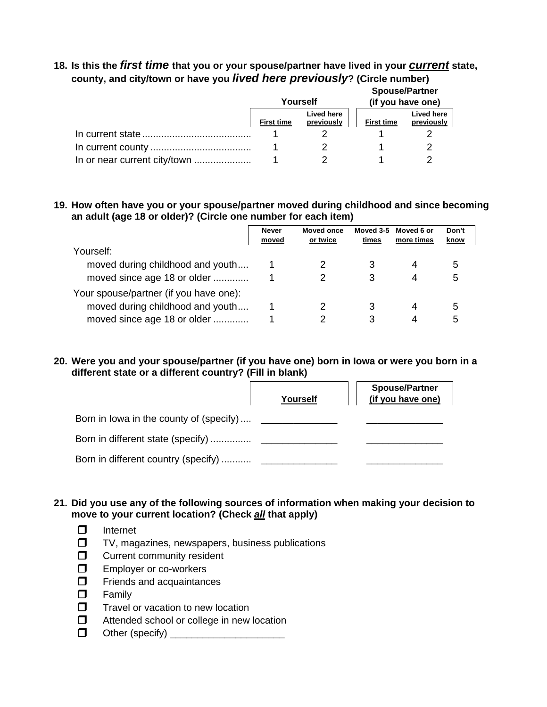## **18. Is this the** *first time* **that you or your spouse/partner have lived in your** *current* **state, county, and city/town or have you** *lived here previously***? (Circle number)**

|                              |                   | Yourself                 |                   | <b>Spouse/Partner</b><br>(if you have one) |
|------------------------------|-------------------|--------------------------|-------------------|--------------------------------------------|
|                              | <b>First time</b> | Lived here<br>previously | <b>First time</b> | Lived here<br>previously                   |
|                              |                   |                          |                   |                                            |
|                              |                   |                          |                   | っ                                          |
| In or near current city/town |                   |                          |                   | າ                                          |

#### **19. How often have you or your spouse/partner moved during childhood and since becoming an adult (age 18 or older)? (Circle one number for each item)**

|                                        | <b>Never</b><br>moved | <b>Moved once</b><br>or twice | Moved 3-5<br>times | Moved 6 or<br>more times | Don't<br>know |  |
|----------------------------------------|-----------------------|-------------------------------|--------------------|--------------------------|---------------|--|
| Yourself:                              |                       |                               |                    |                          |               |  |
| moved during childhood and youth       |                       |                               |                    | 4                        | .5            |  |
| moved since age 18 or older            |                       |                               | З                  | 4                        | 5             |  |
| Your spouse/partner (if you have one): |                       |                               |                    |                          |               |  |
| moved during childhood and youth       |                       |                               | 3                  | 4                        | 5             |  |
| moved since age 18 or older            |                       |                               |                    | 4                        | h.            |  |

#### **20. Were you and your spouse/partner (if you have one) born in Iowa or were you born in a different state or a different country? (Fill in blank)**

|                                         | Yourself | <b>Spouse/Partner</b><br>(if you have one) |
|-----------------------------------------|----------|--------------------------------------------|
| Born in lowa in the county of (specify) |          |                                            |
|                                         |          |                                            |
| Born in different country (specify)     |          |                                            |

#### **21. Did you use any of the following sources of information when making your decision to move to your current location? (Check** *all* **that apply)**

- $\Box$  Internet
- $\Box$  TV, magazines, newspapers, business publications
- **C** Current community resident
- **EMPLOYER OF CO-WORKERS**
- $\Box$  Friends and acquaintances
- **D** Family
- $\Box$  Travel or vacation to new location
- $\Box$  Attended school or college in new location
- Other (specify) \_\_\_\_\_\_\_\_\_\_\_\_\_\_\_\_\_\_\_\_\_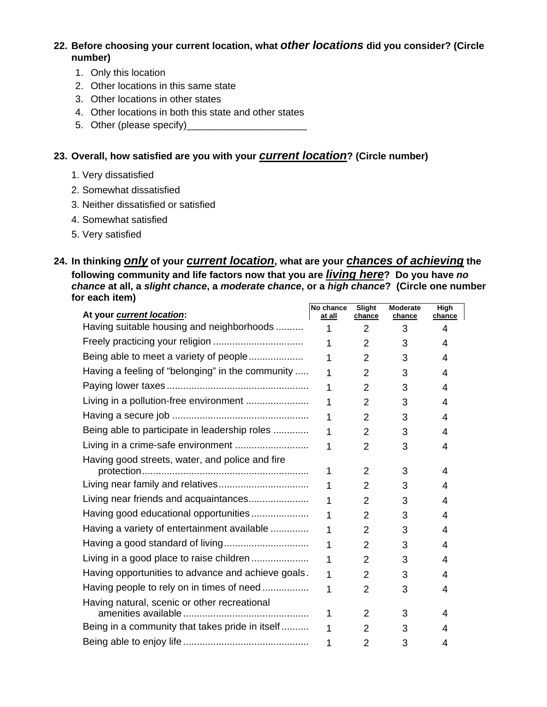**22. Before choosing your current location, what** *other locations* **did you consider? (Circle number)**

- 1. Only this location
- 2. Other locations in this same state
- 3. Other locations in other states
- 4. Other locations in both this state and other states
- 5. Other (please specify)\_\_\_\_\_\_\_\_\_\_\_\_\_\_\_\_\_\_\_\_\_\_

#### **23. Overall, how satisfied are you with your** *current location***? (Circle number)**

- 1. Very dissatisfied
- 2. Somewhat dissatisfied
- 3. Neither dissatisfied or satisfied
- 4. Somewhat satisfied
- 5. Very satisfied

#### **24. In thinking** *only* **of your** *current location***, what are your** *chances of achieving* **the following community and life factors now that you are** *living here***? Do you have** *no chance* **at all, a** *slight chance***, a** *moderate chance***, or a** *high chance***? (Circle one number for each item)**

| At your current location:                          | No chance<br>at all | Slight<br>chance | <b>Moderate</b><br>chance | High<br>chance |
|----------------------------------------------------|---------------------|------------------|---------------------------|----------------|
| Having suitable housing and neighborhoods          | 1                   | 2                | 3                         | 4              |
|                                                    | 1                   | $\overline{2}$   | 3                         | 4              |
| Being able to meet a variety of people             | 1                   | $\overline{2}$   | 3                         | 4              |
| Having a feeling of "belonging" in the community   | 1                   | 2                | 3                         | 4              |
|                                                    | 1                   | $\overline{2}$   | 3                         | 4              |
| Living in a pollution-free environment             | 1                   | $\overline{2}$   | 3                         | 4              |
|                                                    | 1                   | $\overline{2}$   | 3                         | 4              |
| Being able to participate in leadership roles      | 1                   | $\overline{2}$   | 3                         | 4              |
| Living in a crime-safe environment                 | 1                   | $\overline{2}$   | 3                         | 4              |
| Having good streets, water, and police and fire    | 1                   | $\overline{2}$   | 3                         | 4              |
|                                                    | 1                   | $\overline{2}$   | 3                         | 4              |
| Living near friends and acquaintances              | 1                   | $\overline{2}$   | 3                         | 4              |
| Having good educational opportunities              | 1                   | $\overline{2}$   | 3                         | 4              |
| Having a variety of entertainment available        | 1                   | $\overline{2}$   | 3                         | 4              |
|                                                    | 1                   | $\overline{2}$   | 3                         | 4              |
| Living in a good place to raise children           | 1                   | $\overline{2}$   | 3                         | 4              |
| Having opportunities to advance and achieve goals. | 1                   | $\overline{2}$   | 3                         | 4              |
| Having people to rely on in times of need          | 1                   | $\overline{2}$   | 3                         | 4              |
| Having natural, scenic or other recreational       | 1                   | 2                | 3                         | 4              |
| Being in a community that takes pride in itself    | 1                   | $\overline{2}$   | 3                         | 4              |
|                                                    | 1                   | $\overline{2}$   | 3                         | 4              |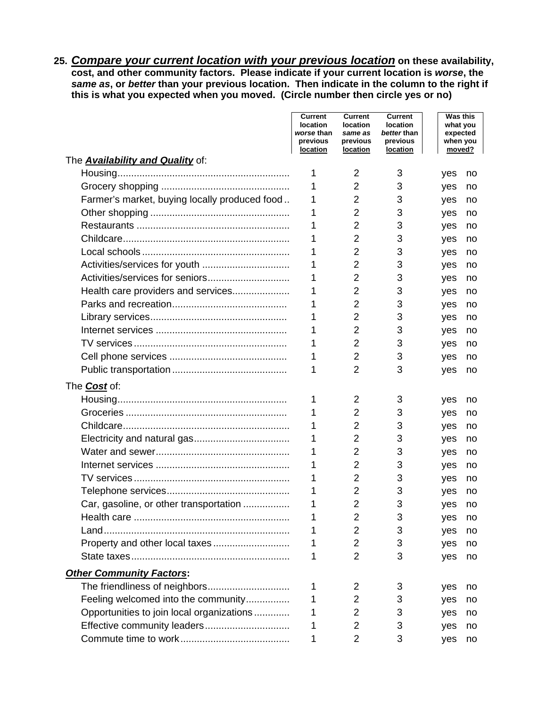**25.** *Compare your current location with your previous location* **on these availability, cost, and other community factors. Please indicate if your current location is** *worse***, the**  *same as***, or** *better* **than your previous location. Then indicate in the column to the right if this is what you expected when you moved. (Circle number then circle yes or no)**

|                                               | Current<br>location<br>worse than<br>previous<br>location | <b>Current</b><br>location<br>same as<br>previous<br>location | <b>Current</b><br>location<br>better than<br>previous<br><u>location</u> |     | <b>Was this</b><br>what you<br>expected<br>when you<br>moved? |    |
|-----------------------------------------------|-----------------------------------------------------------|---------------------------------------------------------------|--------------------------------------------------------------------------|-----|---------------------------------------------------------------|----|
| The <b>Availability and Quality</b> of:       |                                                           |                                                               |                                                                          |     |                                                               |    |
|                                               | 1                                                         | 2                                                             | 3                                                                        | yes |                                                               | no |
|                                               | 1                                                         | 2                                                             | 3                                                                        | yes |                                                               | no |
| Farmer's market, buying locally produced food | 1                                                         | 2                                                             | 3                                                                        | yes |                                                               | no |
|                                               | 1                                                         | $\overline{2}$                                                | 3                                                                        | yes |                                                               | no |
|                                               |                                                           | $\overline{2}$                                                | 3                                                                        | yes |                                                               | no |
|                                               | 1                                                         | 2                                                             | 3                                                                        | yes |                                                               | no |
|                                               | 1                                                         | $\overline{2}$                                                | 3                                                                        | yes |                                                               | no |
|                                               | 1                                                         | 2                                                             | 3                                                                        | yes |                                                               | no |
|                                               | 1                                                         | 2                                                             | 3                                                                        | yes |                                                               | no |
| Health care providers and services            | 1                                                         | 2                                                             | 3                                                                        | yes |                                                               | no |
|                                               |                                                           | 2                                                             | 3                                                                        | yes |                                                               | no |
|                                               |                                                           | 2                                                             | 3                                                                        | yes |                                                               | no |
|                                               |                                                           | 2                                                             | 3                                                                        | yes |                                                               | no |
|                                               |                                                           | $\overline{2}$                                                | 3                                                                        | yes |                                                               | no |
|                                               |                                                           | $\overline{2}$                                                | 3                                                                        | yes |                                                               | no |
|                                               | 1                                                         | $\overline{2}$                                                | 3                                                                        | yes |                                                               | no |
| The <b>Cost</b> of:                           |                                                           |                                                               |                                                                          |     |                                                               |    |
|                                               | 1                                                         | 2                                                             | 3                                                                        | yes |                                                               | no |
|                                               |                                                           | 2                                                             | 3                                                                        | yes |                                                               | no |
|                                               | 1                                                         | 2                                                             | 3                                                                        | yes |                                                               | no |
|                                               | 1                                                         | 2                                                             | 3                                                                        | yes |                                                               | no |
|                                               | 1                                                         | 2                                                             | 3                                                                        | yes |                                                               | no |
|                                               | 1                                                         | 2                                                             | 3                                                                        | yes |                                                               | no |
|                                               | 1                                                         | 2                                                             | 3                                                                        | yes |                                                               | no |
|                                               | 1                                                         | $\overline{2}$                                                | 3                                                                        | yes |                                                               | no |
| Car, gasoline, or other transportation        | 1                                                         | 2                                                             | 3                                                                        | yes |                                                               | no |
|                                               |                                                           | 2                                                             | 3                                                                        | yes |                                                               | no |
|                                               |                                                           | 2                                                             | 3                                                                        | yes |                                                               | no |
| Property and other local taxes                | 1                                                         | 2                                                             | 3                                                                        | yes |                                                               | no |
|                                               | 1                                                         | $\overline{2}$                                                | 3                                                                        | yes |                                                               | no |
| <b>Other Community Factors:</b>               |                                                           |                                                               |                                                                          |     |                                                               |    |
| The friendliness of neighbors                 | 1                                                         | 2                                                             | 3                                                                        | yes |                                                               | no |
| Feeling welcomed into the community           | 1                                                         | 2                                                             | 3                                                                        | yes |                                                               | no |
| Opportunities to join local organizations     |                                                           | 2                                                             | 3                                                                        | yes |                                                               | no |
| Effective community leaders                   | 1                                                         | 2                                                             | 3                                                                        | yes |                                                               | no |
|                                               | 1                                                         | $\overline{2}$                                                | 3                                                                        | yes |                                                               | no |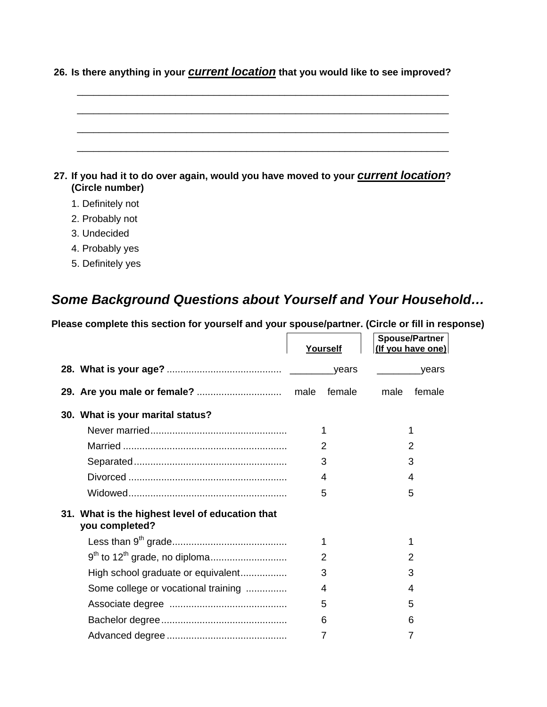| 27. If you had it to do over again, would you have moved to your <b>Current location</b> ?<br>(Circle number) |
|---------------------------------------------------------------------------------------------------------------|

**26. Is there anything in your** *current location* **that you would like to see improved?**

- 1. Definitely not
- 2. Probably not
- 3. Undecided
- 4. Probably yes
- 5. Definitely yes

# *Some Background Questions about Yourself and Your Household…*

**Please complete this section for yourself and your spouse/partner. (Circle or fill in response)** 

|                                                                   | Yourself | <b>Spouse/Partner</b><br>(If you have one) |
|-------------------------------------------------------------------|----------|--------------------------------------------|
|                                                                   | _years   | <u>vears</u>                               |
|                                                                   | female   | male<br>female                             |
| 30. What is your marital status?                                  |          |                                            |
|                                                                   | 1        |                                            |
|                                                                   | 2        | 2                                          |
|                                                                   | 3        | 3                                          |
|                                                                   | 4        | 4                                          |
|                                                                   | 5        | 5                                          |
| 31. What is the highest level of education that<br>you completed? |          |                                            |
|                                                                   | 1        |                                            |
|                                                                   | 2        | 2                                          |
| High school graduate or equivalent                                | 3        | 3                                          |
| Some college or vocational training                               | 4        | 4                                          |
|                                                                   | 5        | 5                                          |
|                                                                   | 6        | 6                                          |
|                                                                   | 7        | 7                                          |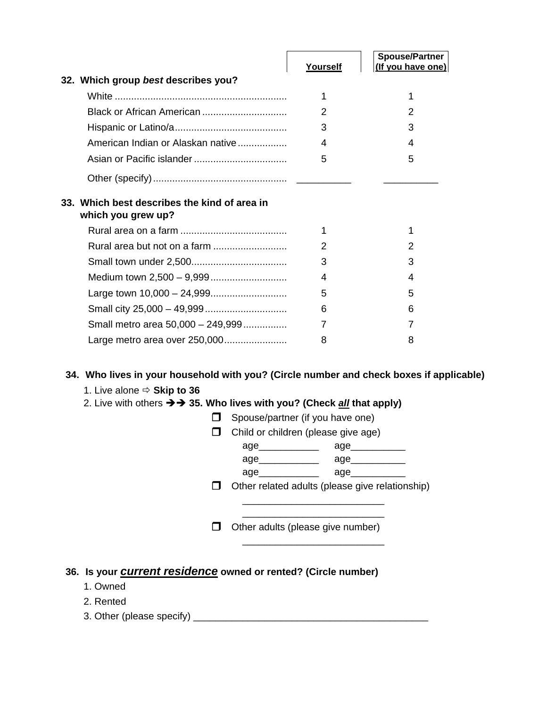|                                                                    | Yourself      | <b>Spouse/Partner</b><br>(If you have one) |
|--------------------------------------------------------------------|---------------|--------------------------------------------|
| 32. Which group best describes you?                                |               |                                            |
|                                                                    | 1             | 1                                          |
|                                                                    | 2             | $\mathcal{P}$                              |
|                                                                    | 3             | 3                                          |
| American Indian or Alaskan native                                  | 4             | 4                                          |
|                                                                    | 5             | 5                                          |
|                                                                    |               |                                            |
| 33. Which best describes the kind of area in<br>which you grew up? |               |                                            |
|                                                                    | 1             | 1                                          |
|                                                                    | $\mathcal{P}$ | 2                                          |
|                                                                    | 3             | 3                                          |
|                                                                    | 4             | 4                                          |
|                                                                    | 5             | 5                                          |
|                                                                    | 6             | 6                                          |
| Small metro area 50,000 - 249,999                                  | 7             | 7                                          |
|                                                                    | 8             | 8                                          |

## **34. Who lives in your household with you? (Circle number and check boxes if applicable)**

1. Live alone  $\Rightarrow$  **Skip to 36** 

## 2. Live with others  $\rightarrow$  35. Who lives with you? (Check *all* that apply)

| Spouse/partner (if you have one)                |              |  |
|-------------------------------------------------|--------------|--|
| Child or children (please give age)             |              |  |
|                                                 | age_________ |  |
| age_____________                                | age________  |  |
| age______________                               | age_         |  |
| Other related adults (please give relationship) |              |  |
| Other adults (please give number)               |              |  |
|                                                 |              |  |

# **36. Is your** *current residence* **owned or rented? (Circle number)**

- 1. Owned
- 2. Rented
- 3. Other (please specify) \_\_\_\_\_\_\_\_\_\_\_\_\_\_\_\_\_\_\_\_\_\_\_\_\_\_\_\_\_\_\_\_\_\_\_\_\_\_\_\_\_\_\_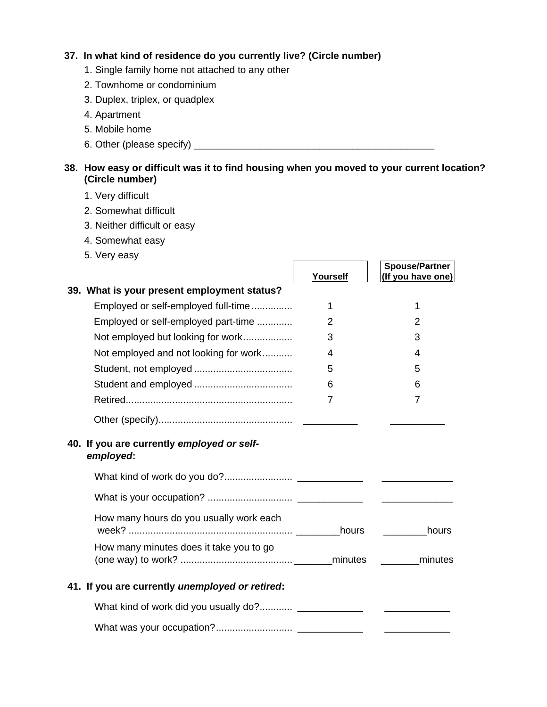#### **37. In what kind of residence do you currently live? (Circle number)**

- 1. Single family home not attached to any other
- 2. Townhome or condominium
- 3. Duplex, triplex, or quadplex
- 4. Apartment
- 5. Mobile home
- 6. Other (please specify) \_\_\_\_\_\_\_\_\_\_\_\_\_\_\_\_\_\_\_\_\_\_\_\_\_\_\_\_\_\_\_\_\_\_\_\_\_\_\_\_\_\_\_\_

## **38. How easy or difficult was it to find housing when you moved to your current location? (Circle number)**

- 1. Very difficult
- 2. Somewhat difficult
- 3. Neither difficult or easy
- 4. Somewhat easy
- 5. Very easy

|                                                         | Yourself | <b>Spouse/Partner</b><br>(If you have one)                                                              |
|---------------------------------------------------------|----------|---------------------------------------------------------------------------------------------------------|
| 39. What is your present employment status?             |          |                                                                                                         |
| Employed or self-employed full-time                     | 1        | 1                                                                                                       |
| Employed or self-employed part-time                     | 2        | $\overline{2}$                                                                                          |
| Not employed but looking for work                       | 3        | 3                                                                                                       |
| Not employed and not looking for work                   | 4        | 4                                                                                                       |
|                                                         | 5        | 5                                                                                                       |
|                                                         | 6        | 6                                                                                                       |
|                                                         | 7        | $\overline{7}$                                                                                          |
|                                                         |          |                                                                                                         |
| 40. If you are currently employed or self-<br>employed: |          |                                                                                                         |
|                                                         |          |                                                                                                         |
|                                                         |          |                                                                                                         |
| How many hours do you usually work each                 |          | hours                                                                                                   |
| How many minutes does it take you to go                 |          | minutes                                                                                                 |
| 41. If you are currently unemployed or retired:         |          |                                                                                                         |
|                                                         |          | $\frac{1}{2}$ and $\frac{1}{2}$ and $\frac{1}{2}$ and $\frac{1}{2}$ and $\frac{1}{2}$ and $\frac{1}{2}$ |
|                                                         |          |                                                                                                         |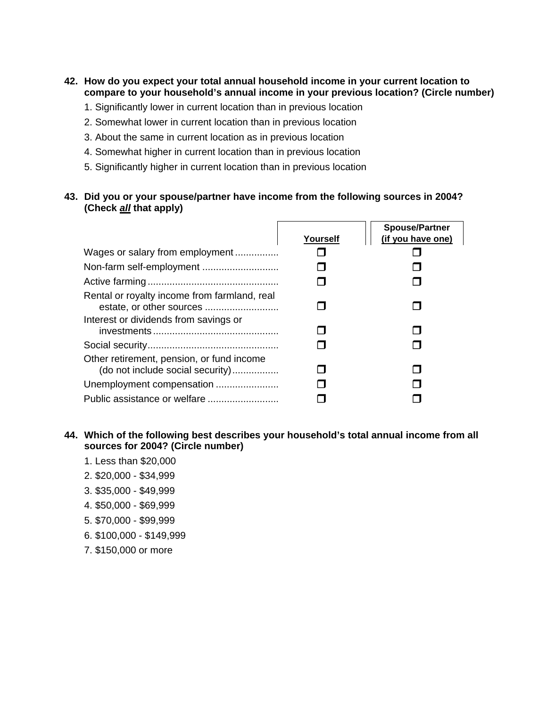#### **42. How do you expect your total annual household income in your current location to compare to your household's annual income in your previous location? (Circle number)**

- 1. Significantly lower in current location than in previous location
- 2. Somewhat lower in current location than in previous location
- 3. About the same in current location as in previous location
- 4. Somewhat higher in current location than in previous location
- 5. Significantly higher in current location than in previous location

#### **43. Did you or your spouse/partner have income from the following sources in 2004? (Check** *all* **that apply)**

|                                                                               |          | <b>Spouse/Partner</b> |
|-------------------------------------------------------------------------------|----------|-----------------------|
|                                                                               | Yourself | (if you have one)     |
| Wages or salary from employment                                               |          |                       |
|                                                                               |          |                       |
|                                                                               |          |                       |
| Rental or royalty income from farmland, real                                  |          |                       |
| Interest or dividends from savings or                                         |          |                       |
|                                                                               |          |                       |
| Other retirement, pension, or fund income<br>(do not include social security) |          |                       |
| Unemployment compensation                                                     |          |                       |
|                                                                               |          |                       |

#### **44. Which of the following best describes your household's total annual income from all sources for 2004? (Circle number)**

- 1. Less than \$20,000
- 2. \$20,000 \$34,999
- 3. \$35,000 \$49,999
- 4. \$50,000 \$69,999
- 5. \$70,000 \$99,999
- 6. \$100,000 \$149,999
- 7. \$150,000 or more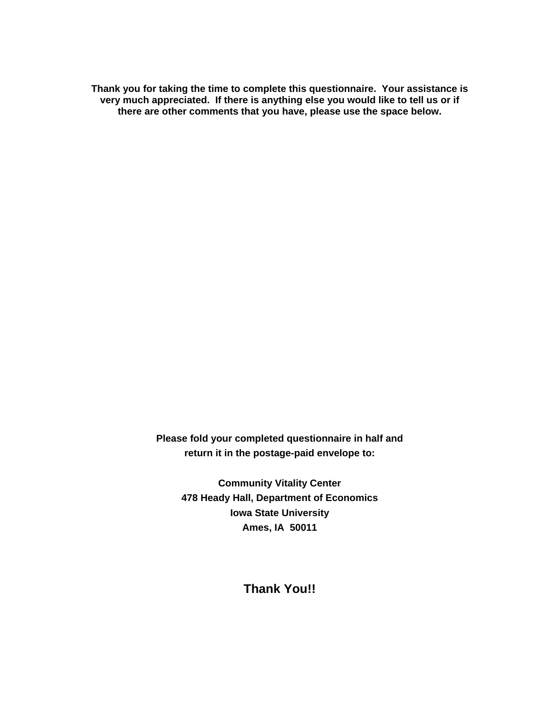**Thank you for taking the time to complete this questionnaire. Your assistance is very much appreciated. If there is anything else you would like to tell us or if there are other comments that you have, please use the space below.** 

> **Please fold your completed questionnaire in half and return it in the postage-paid envelope to:**

**Community Vitality Center 478 Heady Hall, Department of Economics Iowa State University Ames, IA 50011** 

**Thank You!!**